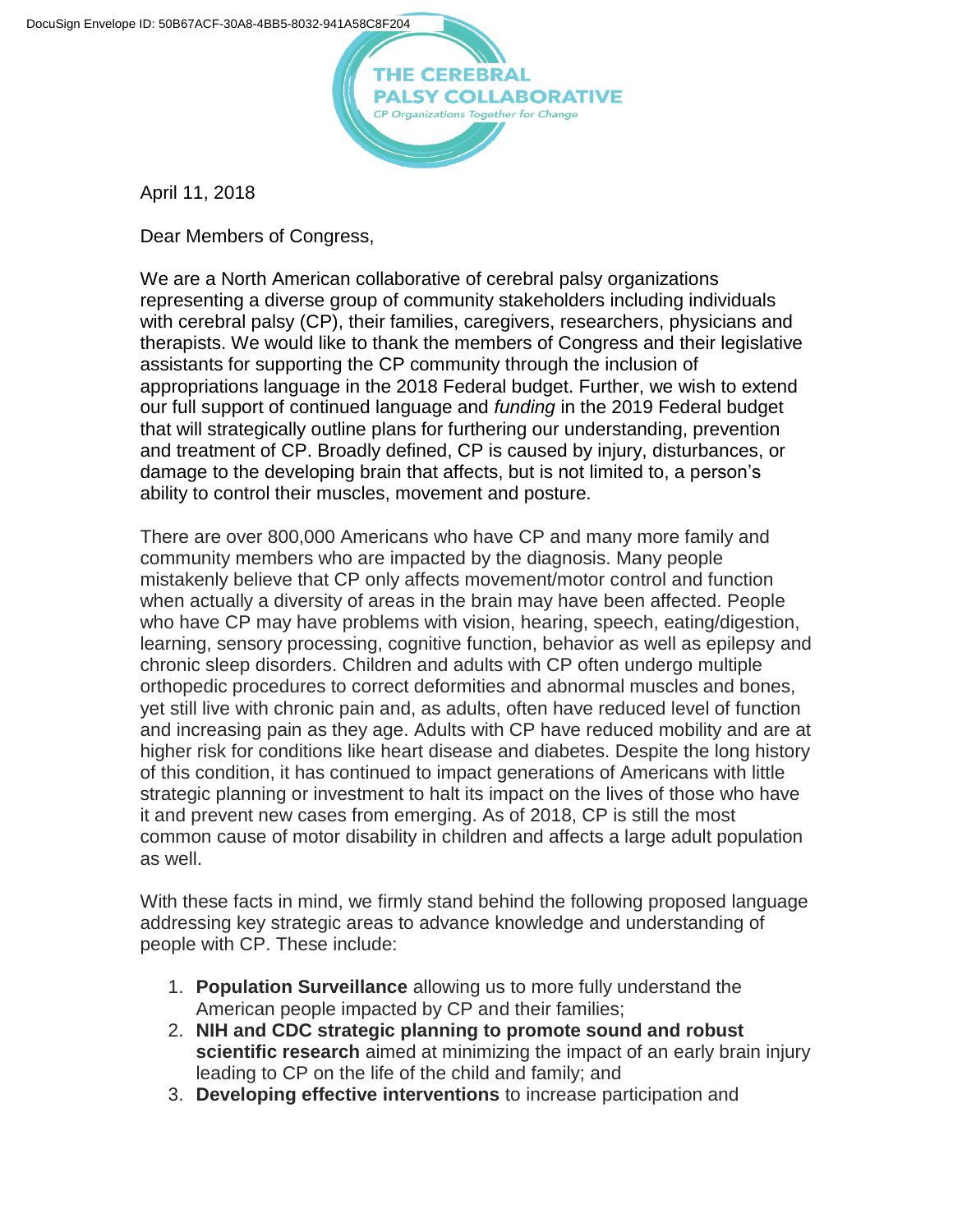

April 11, 2018

Dear Members of Congress,

We are a North American collaborative of cerebral palsy organizations representing a diverse group of community stakeholders including individuals with cerebral palsy (CP), their families, caregivers, researchers, physicians and therapists. We would like to thank the members of Congress and their legislative assistants for supporting the CP community through the inclusion of appropriations language in the 2018 Federal budget. Further, we wish to extend our full support of continued language and *funding* in the 2019 Federal budget that will strategically outline plans for furthering our understanding, prevention and treatment of CP. Broadly defined, CP is caused by injury, disturbances, or damage to the developing brain that affects, but is not limited to, a person's ability to control their muscles, movement and posture.

There are over 800,000 Americans who have CP and many more family and community members who are impacted by the diagnosis. Many people mistakenly believe that CP only affects movement/motor control and function when actually a diversity of areas in the brain may have been affected. People who have CP may have problems with vision, hearing, speech, eating/digestion, learning, sensory processing, cognitive function, behavior as well as epilepsy and chronic sleep disorders. Children and adults with CP often undergo multiple orthopedic procedures to correct deformities and abnormal muscles and bones, yet still live with chronic pain and, as adults, often have reduced level of function and increasing pain as they age. Adults with CP have reduced mobility and are at higher risk for conditions like heart disease and diabetes. Despite the long history of this condition, it has continued to impact generations of Americans with little strategic planning or investment to halt its impact on the lives of those who have it and prevent new cases from emerging. As of 2018, CP is still the most common cause of motor disability in children and affects a large adult population as well.

With these facts in mind, we firmly stand behind the following proposed language addressing key strategic areas to advance knowledge and understanding of people with CP. These include:

- 1. **Population Surveillance** allowing us to more fully understand the American people impacted by CP and their families;
- 2. **NIH and CDC strategic planning to promote sound and robust scientific research** aimed at minimizing the impact of an early brain injury leading to CP on the life of the child and family; and
- 3. **Developing effective interventions** to increase participation and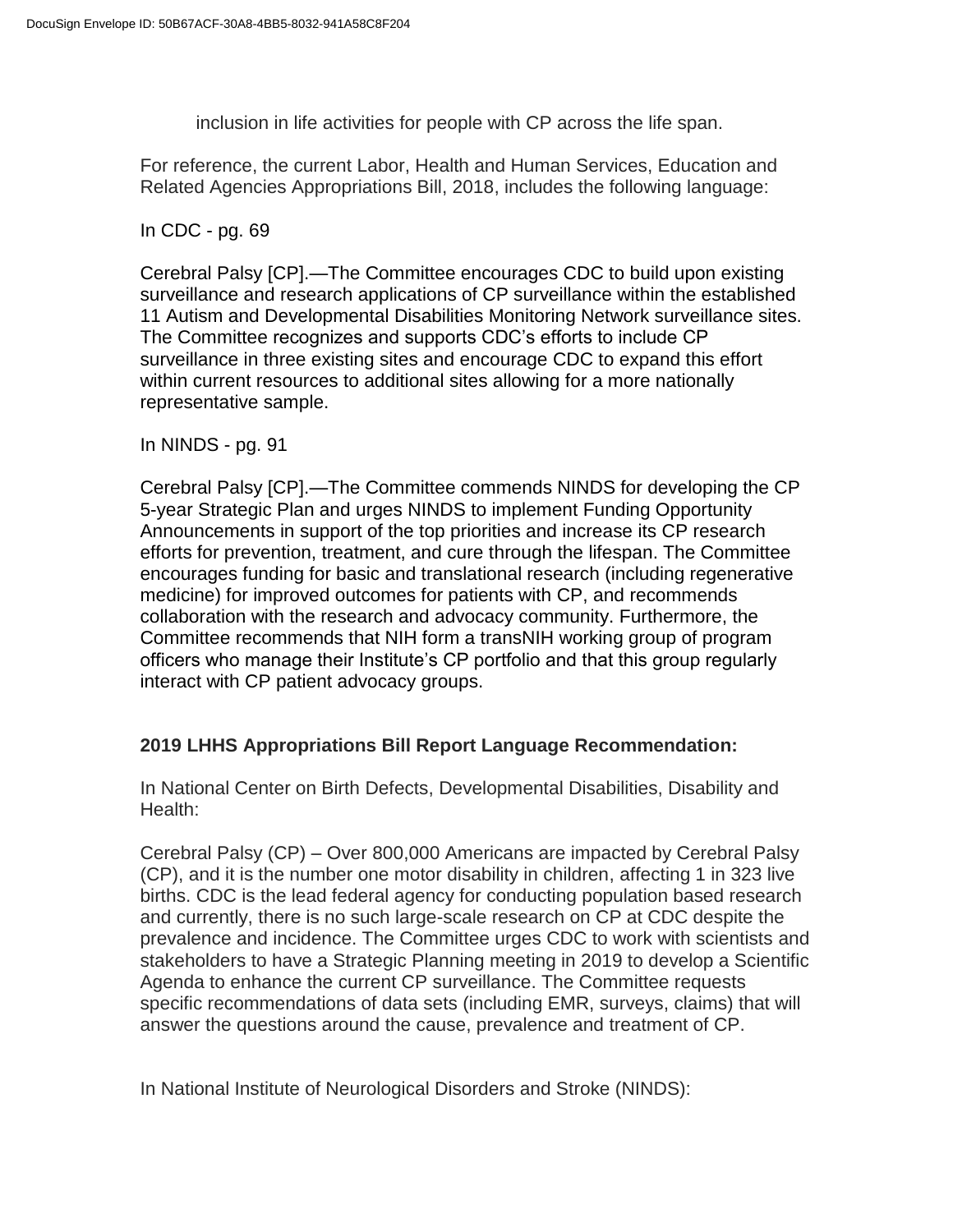inclusion in life activities for people with CP across the life span.

For reference, the current Labor, Health and Human Services, Education and Related Agencies Appropriations Bill, 2018, includes the following language:

In CDC - pg. 69

Cerebral Palsy [CP].—The Committee encourages CDC to build upon existing surveillance and research applications of CP surveillance within the established 11 Autism and Developmental Disabilities Monitoring Network surveillance sites. The Committee recognizes and supports CDC's efforts to include CP surveillance in three existing sites and encourage CDC to expand this effort within current resources to additional sites allowing for a more nationally representative sample.

## In NINDS - pg. 91

Cerebral Palsy [CP].—The Committee commends NINDS for developing the CP 5-year Strategic Plan and urges NINDS to implement Funding Opportunity Announcements in support of the top priorities and increase its CP research efforts for prevention, treatment, and cure through the lifespan. The Committee encourages funding for basic and translational research (including regenerative medicine) for improved outcomes for patients with CP, and recommends collaboration with the research and advocacy community. Furthermore, the Committee recommends that NIH form a transNIH working group of program officers who manage their Institute's CP portfolio and that this group regularly interact with CP patient advocacy groups.

## **2019 LHHS Appropriations Bill Report Language Recommendation:**

In National Center on Birth Defects, Developmental Disabilities, Disability and Health:

Cerebral Palsy (CP) – Over 800,000 Americans are impacted by Cerebral Palsy (CP), and it is the number one motor disability in children, affecting 1 in 323 live births. CDC is the lead federal agency for conducting population based research and currently, there is no such large-scale research on CP at CDC despite the prevalence and incidence. The Committee urges CDC to work with scientists and stakeholders to have a Strategic Planning meeting in 2019 to develop a Scientific Agenda to enhance the current CP surveillance. The Committee requests specific recommendations of data sets (including EMR, surveys, claims) that will answer the questions around the cause, prevalence and treatment of CP.

In National Institute of Neurological Disorders and Stroke (NINDS):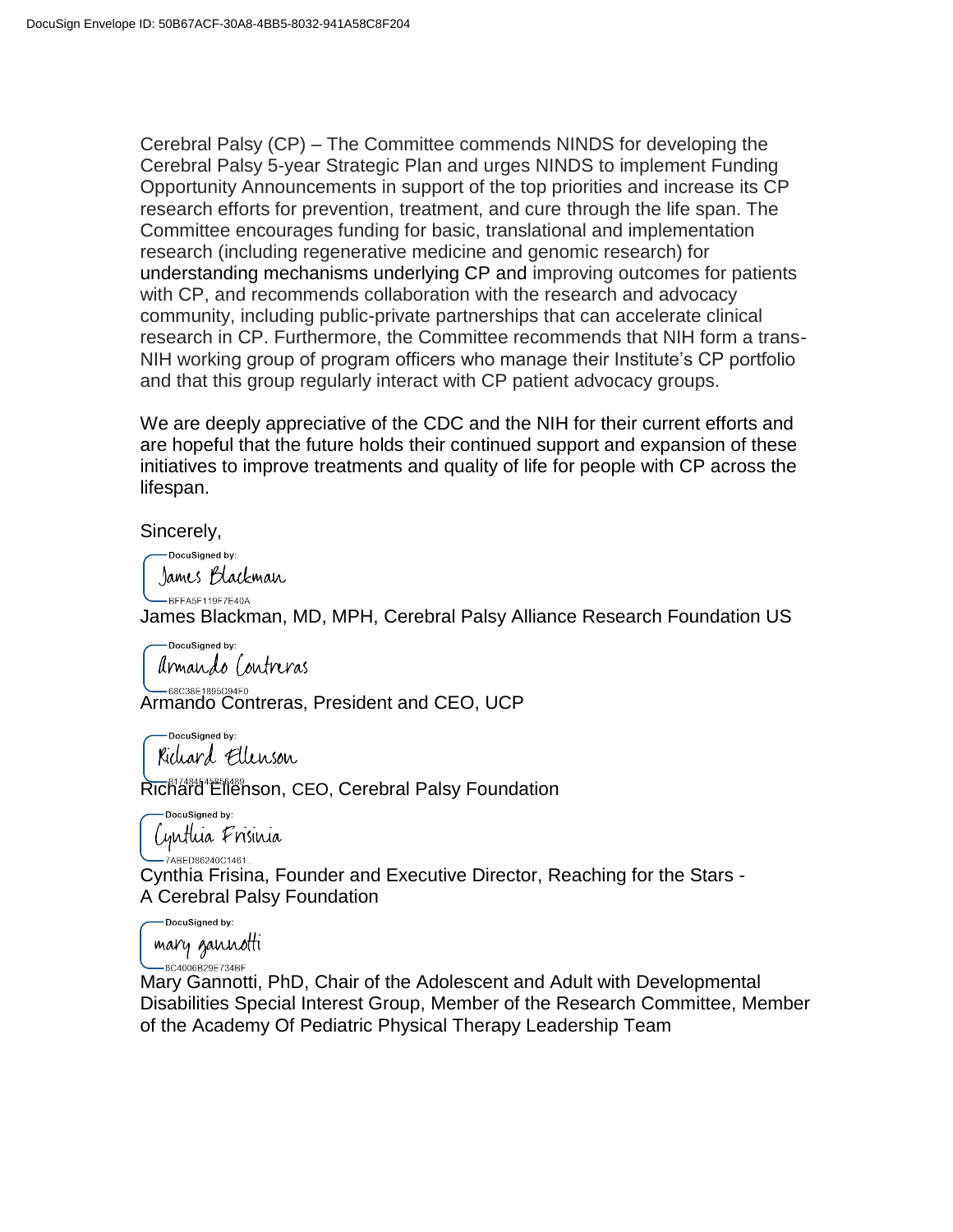Cerebral Palsy (CP) – The Committee commends NINDS for developing the Cerebral Palsy 5-year Strategic Plan and urges NINDS to implement Funding Opportunity Announcements in support of the top priorities and increase its CP research efforts for prevention, treatment, and cure through the life span. The Committee encourages funding for basic, translational and implementation research (including regenerative medicine and genomic research) for understanding mechanisms underlying CP and improving outcomes for patients with CP, and recommends collaboration with the research and advocacy community, including public-private partnerships that can accelerate clinical research in CP. Furthermore, the Committee recommends that NIH form a trans-NIH working group of program officers who manage their Institute's CP portfolio and that this group regularly interact with CP patient advocacy groups.

We are deeply appreciative of the CDC and the NIH for their current efforts and are hopeful that the future holds their continued support and expansion of these initiatives to improve treatments and quality of life for people with CP across the lifespan.

Sincerely,

-DocuSigned by: James Blackman

-BFFA5F119F7E40A..

James Blackman, MD, MPH, Cerebral Palsy Alliance Research Foundation US

DocuSigned by: armando Contreras

68C38E1895D94F0.. Armando Contreras, President and CEO, UCP

DocuSigned by: Kichard Ellenson

Richard Ellenson, CEO, Cerebral Palsy Foundation

DocuSigned by: Cynthia Frisinia .<br>7ABED86240C1461.

Cynthia Frisina, Founder and Executive Director, Reaching for the Stars - A Cerebral Palsy Foundation

DocuSianed by:

mary gannotti -8C4006B29E734BF

Mary Gannotti, PhD, Chair of the Adolescent and Adult with Developmental Disabilities Special Interest Group, Member of the Research Committee, Member of the Academy Of Pediatric Physical Therapy Leadership Team